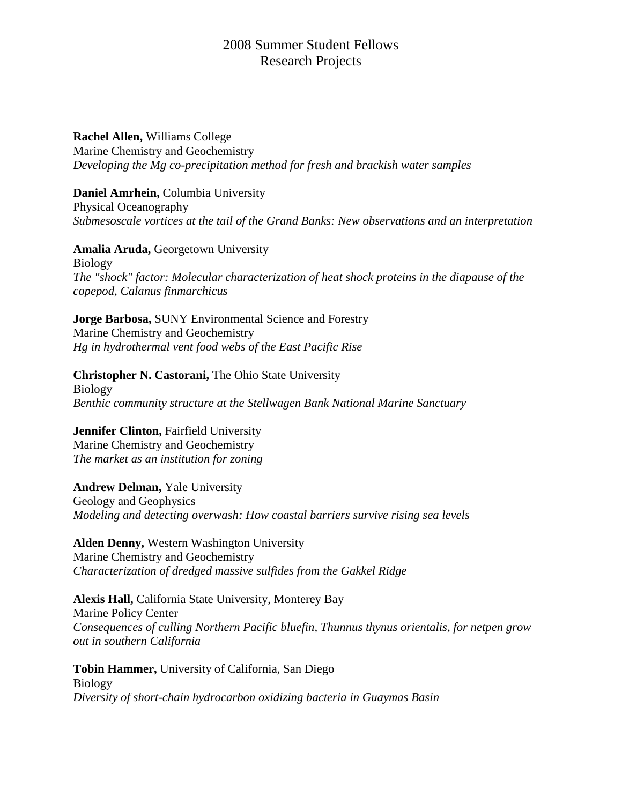# 2008 Summer Student Fellows Research Projects

**Rachel Allen,** Williams College Marine Chemistry and Geochemistry *Developing the Mg co-precipitation method for fresh and brackish water samples*

**Daniel Amrhein,** Columbia University Physical Oceanography *Submesoscale vortices at the tail of the Grand Banks: New observations and an interpretation*

**Amalia Aruda,** Georgetown University Biology *The "shock" factor: Molecular characterization of heat shock proteins in the diapause of the copepod*, *Calanus finmarchicus*

**Jorge Barbosa,** SUNY Environmental Science and Forestry Marine Chemistry and Geochemistry *Hg in hydrothermal vent food webs of the East Pacific Rise*

**Christopher N. Castorani,** The Ohio State University Biology *Benthic community structure at the Stellwagen Bank National Marine Sanctuary*

**Jennifer Clinton,** Fairfield University Marine Chemistry and Geochemistry *The market as an institution for zoning*

**Andrew Delman,** Yale University Geology and Geophysics *Modeling and detecting overwash: How coastal barriers survive rising sea levels*

**Alden Denny,** Western Washington University Marine Chemistry and Geochemistry *Characterization of dredged massive sulfides from the Gakkel Ridge*

**Alexis Hall,** California State University, Monterey Bay Marine Policy Center *Consequences of culling Northern Pacific bluefin, Thunnus thynus orientalis*, *for netpen grow out in southern California*

**Tobin Hammer,** University of California, San Diego Biology *Diversity of short-chain hydrocarbon oxidizing bacteria in Guaymas Basin*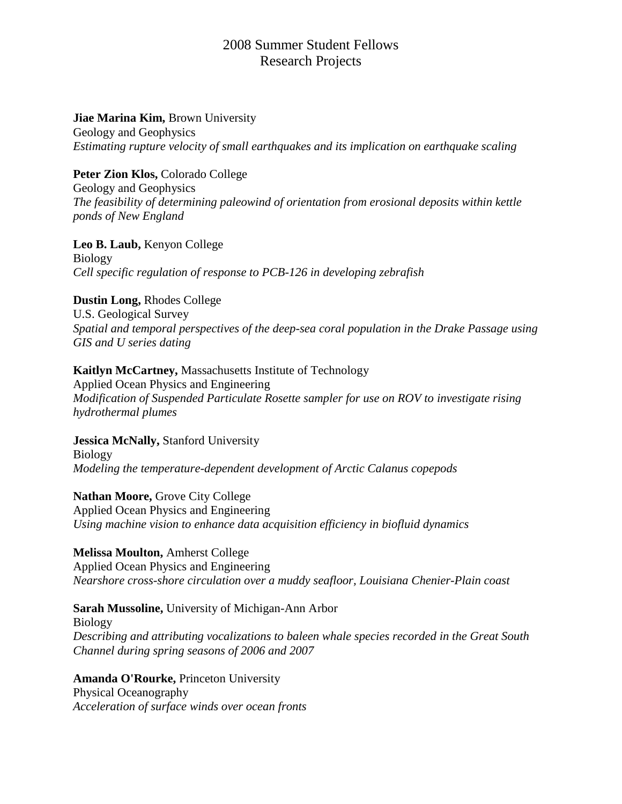# 2008 Summer Student Fellows Research Projects

#### **Jiae Marina Kim,** Brown University

Geology and Geophysics *Estimating rupture velocity of small earthquakes and its implication on earthquake scaling*

## **Peter Zion Klos,** Colorado College

Geology and Geophysics *The feasibility of determining paleowind of orientation from erosional deposits within kettle ponds of New England*

#### **Leo B. Laub,** Kenyon College

Biology *Cell specific regulation of response to PCB-126 in developing zebrafish*

# **Dustin Long,** Rhodes College

U.S. Geological Survey *Spatial and temporal perspectives of the deep-sea coral population in the Drake Passage using GIS and U series dating*

# **Kaitlyn McCartney,** Massachusetts Institute of Technology

Applied Ocean Physics and Engineering *Modification of Suspended Particulate Rosette sampler for use on ROV to investigate rising hydrothermal plumes*

**Jessica McNally,** Stanford University Biology *Modeling the temperature-dependent development of Arctic Calanus copepods*

**Nathan Moore,** Grove City College Applied Ocean Physics and Engineering *Using machine vision to enhance data acquisition efficiency in biofluid dynamics*

#### **Melissa Moulton,** Amherst College Applied Ocean Physics and Engineering *Nearshore cross-shore circulation over a muddy seafloor, Louisiana Chenier-Plain coast*

## **Sarah Mussoline,** University of Michigan-Ann Arbor

Biology *Describing and attributing vocalizations to baleen whale species recorded in the Great South Channel during spring seasons of 2006 and 2007*

**Amanda O'Rourke,** Princeton University Physical Oceanography *Acceleration of surface winds over ocean fronts*